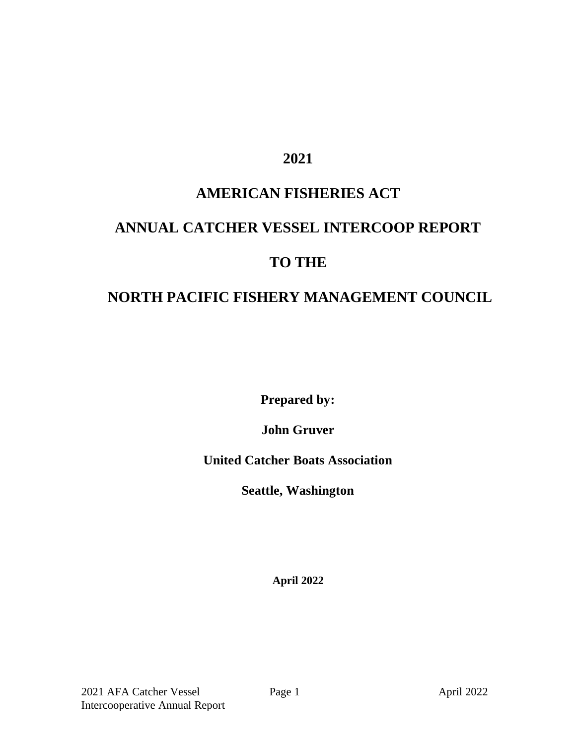#### **2021**

## **AMERICAN FISHERIES ACT**

# **ANNUAL CATCHER VESSEL INTERCOOP REPORT**

#### **TO THE**

## **NORTH PACIFIC FISHERY MANAGEMENT COUNCIL**

**Prepared by:**

**John Gruver** 

**United Catcher Boats Association**

**Seattle, Washington**

**April 2022**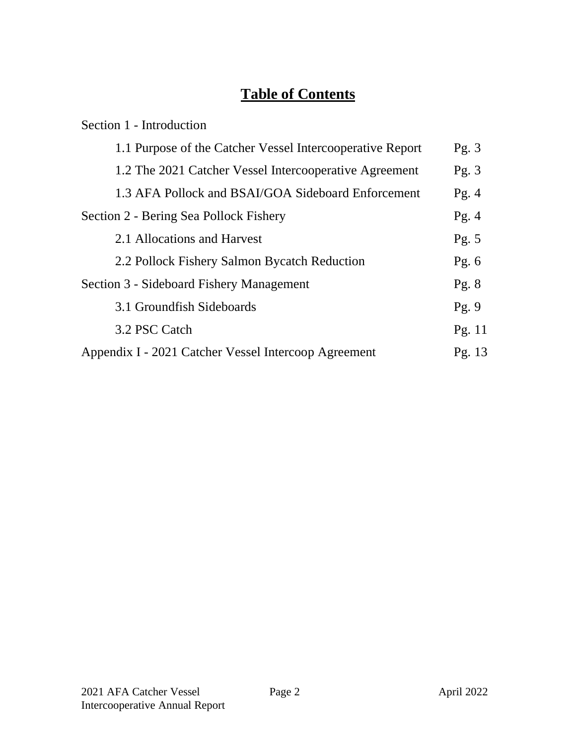## **Table of Contents**

| Section 1 - Introduction                                  |          |
|-----------------------------------------------------------|----------|
| 1.1 Purpose of the Catcher Vessel Intercooperative Report | Pg. $3$  |
| 1.2 The 2021 Catcher Vessel Intercooperative Agreement    | Pg. $3$  |
| 1.3 AFA Pollock and BSAI/GOA Sideboard Enforcement        | Pg. $4$  |
| Section 2 - Bering Sea Pollock Fishery                    | Pg. $4$  |
| 2.1 Allocations and Harvest                               | Pg. $5$  |
| 2.2 Pollock Fishery Salmon Bycatch Reduction              | Pg. $6$  |
| Section 3 - Sideboard Fishery Management                  | Pg. $8$  |
| 3.1 Groundfish Sideboards                                 | Pg.9     |
| 3.2 PSC Catch                                             | Pg. $11$ |
| Appendix I - 2021 Catcher Vessel Intercoop Agreement      | Pg. $13$ |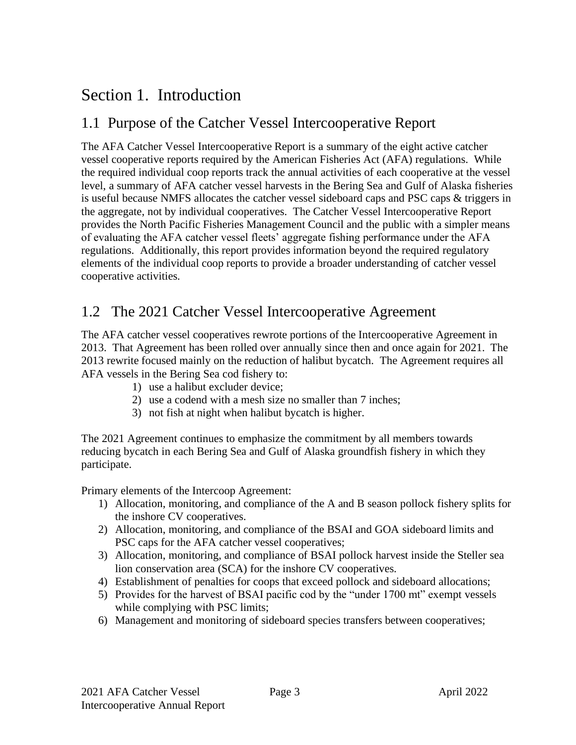## Section 1. Introduction

## 1.1 Purpose of the Catcher Vessel Intercooperative Report

The AFA Catcher Vessel Intercooperative Report is a summary of the eight active catcher vessel cooperative reports required by the American Fisheries Act (AFA) regulations. While the required individual coop reports track the annual activities of each cooperative at the vessel level, a summary of AFA catcher vessel harvests in the Bering Sea and Gulf of Alaska fisheries is useful because NMFS allocates the catcher vessel sideboard caps and PSC caps & triggers in the aggregate, not by individual cooperatives. The Catcher Vessel Intercooperative Report provides the North Pacific Fisheries Management Council and the public with a simpler means of evaluating the AFA catcher vessel fleets' aggregate fishing performance under the AFA regulations. Additionally, this report provides information beyond the required regulatory elements of the individual coop reports to provide a broader understanding of catcher vessel cooperative activities.

## 1.2 The 2021 Catcher Vessel Intercooperative Agreement

The AFA catcher vessel cooperatives rewrote portions of the Intercooperative Agreement in 2013. That Agreement has been rolled over annually since then and once again for 2021. The 2013 rewrite focused mainly on the reduction of halibut bycatch. The Agreement requires all AFA vessels in the Bering Sea cod fishery to:

- 1) use a halibut excluder device;
- 2) use a codend with a mesh size no smaller than 7 inches;
- 3) not fish at night when halibut bycatch is higher.

The 2021 Agreement continues to emphasize the commitment by all members towards reducing bycatch in each Bering Sea and Gulf of Alaska groundfish fishery in which they participate.

Primary elements of the Intercoop Agreement:

- 1) Allocation, monitoring, and compliance of the A and B season pollock fishery splits for the inshore CV cooperatives.
- 2) Allocation, monitoring, and compliance of the BSAI and GOA sideboard limits and PSC caps for the AFA catcher vessel cooperatives;
- 3) Allocation, monitoring, and compliance of BSAI pollock harvest inside the Steller sea lion conservation area (SCA) for the inshore CV cooperatives.
- 4) Establishment of penalties for coops that exceed pollock and sideboard allocations;
- 5) Provides for the harvest of BSAI pacific cod by the "under 1700 mt" exempt vessels while complying with PSC limits;
- 6) Management and monitoring of sideboard species transfers between cooperatives;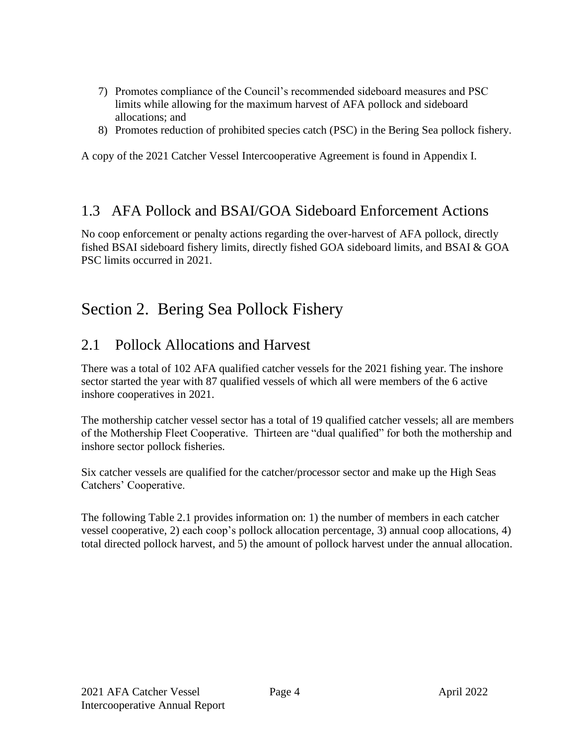- 7) Promotes compliance of the Council's recommended sideboard measures and PSC limits while allowing for the maximum harvest of AFA pollock and sideboard allocations; and
- 8) Promotes reduction of prohibited species catch (PSC) in the Bering Sea pollock fishery.

A copy of the 2021 Catcher Vessel Intercooperative Agreement is found in Appendix I.

#### 1.3 AFA Pollock and BSAI/GOA Sideboard Enforcement Actions

No coop enforcement or penalty actions regarding the over-harvest of AFA pollock, directly fished BSAI sideboard fishery limits, directly fished GOA sideboard limits, and BSAI & GOA PSC limits occurred in 2021.

## Section 2. Bering Sea Pollock Fishery

## 2.1 Pollock Allocations and Harvest

There was a total of 102 AFA qualified catcher vessels for the 2021 fishing year. The inshore sector started the year with 87 qualified vessels of which all were members of the 6 active inshore cooperatives in 2021.

The mothership catcher vessel sector has a total of 19 qualified catcher vessels; all are members of the Mothership Fleet Cooperative. Thirteen are "dual qualified" for both the mothership and inshore sector pollock fisheries.

Six catcher vessels are qualified for the catcher/processor sector and make up the High Seas Catchers' Cooperative.

The following Table 2.1 provides information on: 1) the number of members in each catcher vessel cooperative, 2) each coop's pollock allocation percentage, 3) annual coop allocations, 4) total directed pollock harvest, and 5) the amount of pollock harvest under the annual allocation.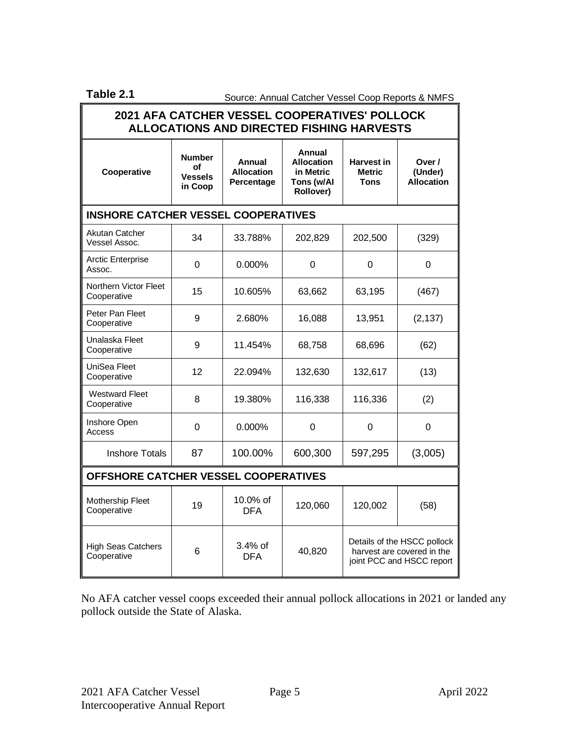Table 2.1 **Source: Annual Catcher Vessel Coop Reports & NMFS** 

| 2021 AFA CATCHER VESSEL COOPERATIVES' POLLOCK<br><b>ALLOCATIONS AND DIRECTED FISHING HARVESTS</b> |                                                  |                                           |                                                                                                  |                                                   |                                        |
|---------------------------------------------------------------------------------------------------|--------------------------------------------------|-------------------------------------------|--------------------------------------------------------------------------------------------------|---------------------------------------------------|----------------------------------------|
| Cooperative                                                                                       | <b>Number</b><br>οf<br><b>Vessels</b><br>in Coop | Annual<br><b>Allocation</b><br>Percentage | Annual<br><b>Allocation</b><br>in Metric<br>Tons (w/Al<br>Rollover)                              | <b>Harvest in</b><br><b>Metric</b><br><b>Tons</b> | Over /<br>(Under)<br><b>Allocation</b> |
| <b>INSHORE CATCHER VESSEL COOPERATIVES</b>                                                        |                                                  |                                           |                                                                                                  |                                                   |                                        |
| Akutan Catcher<br>Vessel Assoc.                                                                   | 34                                               | 33.788%                                   | 202,829                                                                                          | 202,500                                           | (329)                                  |
| <b>Arctic Enterprise</b><br>Assoc.                                                                | 0                                                | $0.000\%$                                 | 0                                                                                                | 0                                                 | 0                                      |
| Northern Victor Fleet<br>Cooperative                                                              | 15                                               | 10.605%                                   | 63,662                                                                                           | 63,195                                            | (467)                                  |
| Peter Pan Fleet<br>Cooperative                                                                    | 9                                                | 2.680%                                    | 16,088                                                                                           | 13,951                                            | (2, 137)                               |
| Unalaska Fleet<br>Cooperative                                                                     | 9                                                | 11.454%                                   | 68,758                                                                                           | 68,696                                            | (62)                                   |
| UniSea Fleet<br>Cooperative                                                                       | 12                                               | 22.094%                                   | 132,630                                                                                          | 132,617                                           | (13)                                   |
| <b>Westward Fleet</b><br>Cooperative                                                              | 8                                                | 19.380%                                   | 116,338                                                                                          | 116,336                                           | (2)                                    |
| Inshore Open<br>Access                                                                            | 0                                                | $0.000\%$                                 | 0                                                                                                | 0                                                 | 0                                      |
| <b>Inshore Totals</b>                                                                             | 87                                               | 100.00%                                   | 600,300                                                                                          | 597,295                                           | (3,005)                                |
| OFFSHORE CATCHER VESSEL COOPERATIVES                                                              |                                                  |                                           |                                                                                                  |                                                   |                                        |
| Mothership Fleet<br>Cooperative                                                                   | 19                                               | 10.0% of<br><b>DFA</b>                    | 120,060                                                                                          | 120,002                                           | (58)                                   |
| <b>High Seas Catchers</b><br>Cooperative                                                          | 6                                                | 3.4% of<br><b>DFA</b>                     | Details of the HSCC pollock<br>40,820<br>harvest are covered in the<br>joint PCC and HSCC report |                                                   |                                        |

No AFA catcher vessel coops exceeded their annual pollock allocations in 2021 or landed any pollock outside the State of Alaska.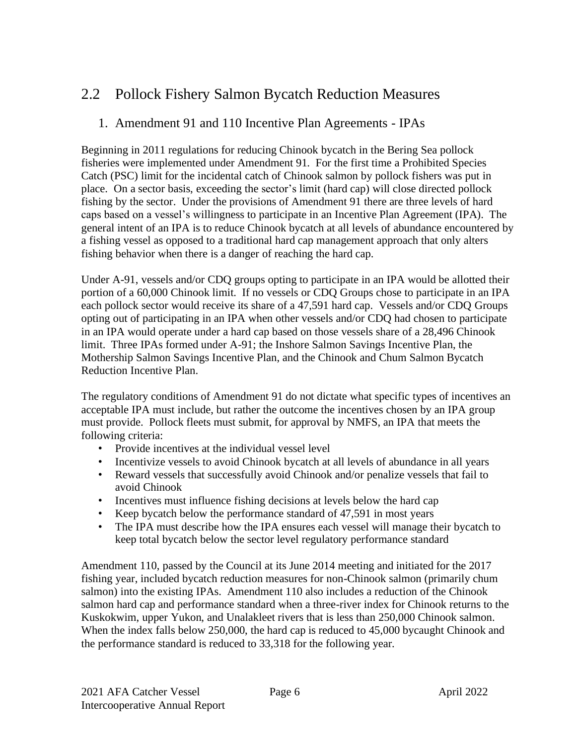## 2.2 Pollock Fishery Salmon Bycatch Reduction Measures

#### 1. Amendment 91 and 110 Incentive Plan Agreements - IPAs

Beginning in 2011 regulations for reducing Chinook bycatch in the Bering Sea pollock fisheries were implemented under Amendment 91. For the first time a Prohibited Species Catch (PSC) limit for the incidental catch of Chinook salmon by pollock fishers was put in place. On a sector basis, exceeding the sector's limit (hard cap) will close directed pollock fishing by the sector. Under the provisions of Amendment 91 there are three levels of hard caps based on a vessel's willingness to participate in an Incentive Plan Agreement (IPA). The general intent of an IPA is to reduce Chinook bycatch at all levels of abundance encountered by a fishing vessel as opposed to a traditional hard cap management approach that only alters fishing behavior when there is a danger of reaching the hard cap.

Under A-91, vessels and/or CDQ groups opting to participate in an IPA would be allotted their portion of a 60,000 Chinook limit. If no vessels or CDQ Groups chose to participate in an IPA each pollock sector would receive its share of a 47,591 hard cap. Vessels and/or CDQ Groups opting out of participating in an IPA when other vessels and/or CDQ had chosen to participate in an IPA would operate under a hard cap based on those vessels share of a 28,496 Chinook limit. Three IPAs formed under A-91; the Inshore Salmon Savings Incentive Plan, the Mothership Salmon Savings Incentive Plan, and the Chinook and Chum Salmon Bycatch Reduction Incentive Plan.

The regulatory conditions of Amendment 91 do not dictate what specific types of incentives an acceptable IPA must include, but rather the outcome the incentives chosen by an IPA group must provide. Pollock fleets must submit, for approval by NMFS, an IPA that meets the following criteria:

- Provide incentives at the individual vessel level
- Incentivize vessels to avoid Chinook bycatch at all levels of abundance in all years
- Reward vessels that successfully avoid Chinook and/or penalize vessels that fail to avoid Chinook
- Incentives must influence fishing decisions at levels below the hard cap
- Keep bycatch below the performance standard of 47,591 in most years
- The IPA must describe how the IPA ensures each vessel will manage their bycatch to keep total bycatch below the sector level regulatory performance standard

Amendment 110, passed by the Council at its June 2014 meeting and initiated for the 2017 fishing year, included bycatch reduction measures for non-Chinook salmon (primarily chum salmon) into the existing IPAs. Amendment 110 also includes a reduction of the Chinook salmon hard cap and performance standard when a three-river index for Chinook returns to the Kuskokwim, upper Yukon, and Unalakleet rivers that is less than 250,000 Chinook salmon. When the index falls below 250,000, the hard cap is reduced to 45,000 bycaught Chinook and the performance standard is reduced to 33,318 for the following year.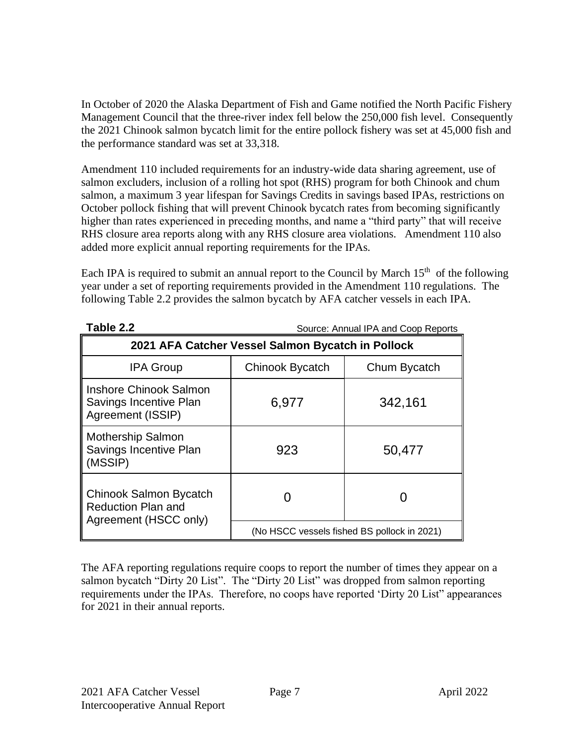In October of 2020 the Alaska Department of Fish and Game notified the North Pacific Fishery Management Council that the three-river index fell below the 250,000 fish level. Consequently the 2021 Chinook salmon bycatch limit for the entire pollock fishery was set at 45,000 fish and the performance standard was set at 33,318.

Amendment 110 included requirements for an industry-wide data sharing agreement, use of salmon excluders, inclusion of a rolling hot spot (RHS) program for both Chinook and chum salmon, a maximum 3 year lifespan for Savings Credits in savings based IPAs, restrictions on October pollock fishing that will prevent Chinook bycatch rates from becoming significantly higher than rates experienced in preceding months, and name a "third party" that will receive RHS closure area reports along with any RHS closure area violations. Amendment 110 also added more explicit annual reporting requirements for the IPAs.

Each IPA is required to submit an annual report to the Council by March  $15<sup>th</sup>$  of the following year under a set of reporting requirements provided in the Amendment 110 regulations. The following Table 2.2 provides the salmon bycatch by AFA catcher vessels in each IPA.

| Table 2.2                                                                    | Source: Annual IPA and Coop Reports    |                                             |  |  |  |
|------------------------------------------------------------------------------|----------------------------------------|---------------------------------------------|--|--|--|
| 2021 AFA Catcher Vessel Salmon Bycatch in Pollock                            |                                        |                                             |  |  |  |
| <b>IPA Group</b>                                                             | <b>Chinook Bycatch</b><br>Chum Bycatch |                                             |  |  |  |
| <b>Inshore Chinook Salmon</b><br>Savings Incentive Plan<br>Agreement (ISSIP) | 6,977                                  | 342,161                                     |  |  |  |
| <b>Mothership Salmon</b><br>Savings Incentive Plan<br>(MSSIP)                | 923                                    | 50,477                                      |  |  |  |
| Chinook Salmon Bycatch<br><b>Reduction Plan and</b><br>Agreement (HSCC only) |                                        |                                             |  |  |  |
|                                                                              |                                        | (No HSCC vessels fished BS pollock in 2021) |  |  |  |

The AFA reporting regulations require coops to report the number of times they appear on a salmon bycatch "Dirty 20 List". The "Dirty 20 List" was dropped from salmon reporting requirements under the IPAs. Therefore, no coops have reported 'Dirty 20 List" appearances for 2021 in their annual reports.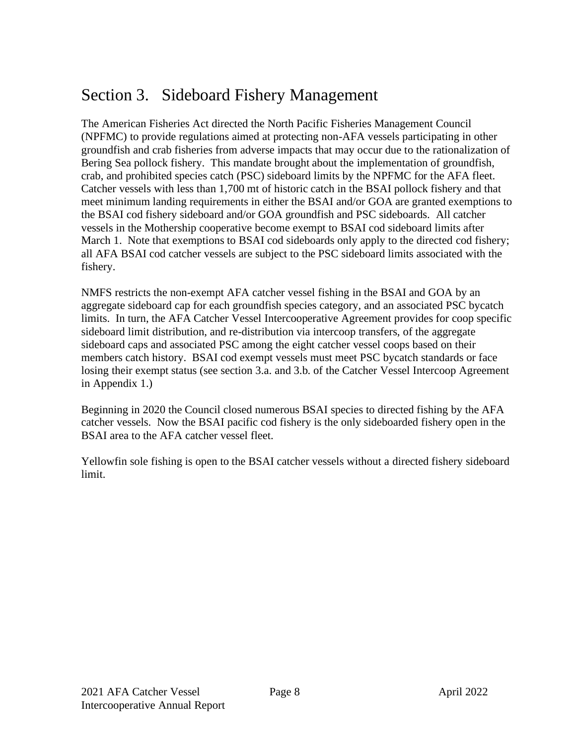## Section 3. Sideboard Fishery Management

The American Fisheries Act directed the North Pacific Fisheries Management Council (NPFMC) to provide regulations aimed at protecting non-AFA vessels participating in other groundfish and crab fisheries from adverse impacts that may occur due to the rationalization of Bering Sea pollock fishery. This mandate brought about the implementation of groundfish, crab, and prohibited species catch (PSC) sideboard limits by the NPFMC for the AFA fleet. Catcher vessels with less than 1,700 mt of historic catch in the BSAI pollock fishery and that meet minimum landing requirements in either the BSAI and/or GOA are granted exemptions to the BSAI cod fishery sideboard and/or GOA groundfish and PSC sideboards. All catcher vessels in the Mothership cooperative become exempt to BSAI cod sideboard limits after March 1. Note that exemptions to BSAI cod sideboards only apply to the directed cod fishery; all AFA BSAI cod catcher vessels are subject to the PSC sideboard limits associated with the fishery.

NMFS restricts the non-exempt AFA catcher vessel fishing in the BSAI and GOA by an aggregate sideboard cap for each groundfish species category, and an associated PSC bycatch limits. In turn, the AFA Catcher Vessel Intercooperative Agreement provides for coop specific sideboard limit distribution, and re-distribution via intercoop transfers, of the aggregate sideboard caps and associated PSC among the eight catcher vessel coops based on their members catch history. BSAI cod exempt vessels must meet PSC bycatch standards or face losing their exempt status (see section 3.a. and 3.b. of the Catcher Vessel Intercoop Agreement in Appendix 1.)

Beginning in 2020 the Council closed numerous BSAI species to directed fishing by the AFA catcher vessels. Now the BSAI pacific cod fishery is the only sideboarded fishery open in the BSAI area to the AFA catcher vessel fleet.

Yellowfin sole fishing is open to the BSAI catcher vessels without a directed fishery sideboard limit.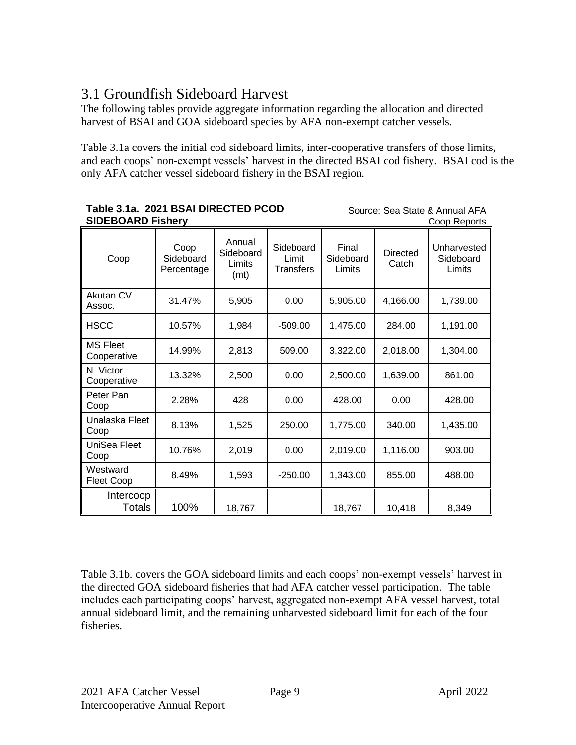## 3.1 Groundfish Sideboard Harvest

The following tables provide aggregate information regarding the allocation and directed harvest of BSAI and GOA sideboard species by AFA non-exempt catcher vessels.

Table 3.1a covers the initial cod sideboard limits, inter-cooperative transfers of those limits, and each coops' non-exempt vessels' harvest in the directed BSAI cod fishery. BSAI cod is the only AFA catcher vessel sideboard fishery in the BSAI region.

Source: Sea State & Annual AFA

Coop Reports

| Coop                           | Coop<br>Sideboard<br>Percentage | Annual<br>Sideboard<br>Limits<br>(mt) | Sideboard<br>Limit<br><b>Transfers</b> | Final<br>Sideboard<br>Limits | <b>Directed</b><br>Catch | Unharvested<br>Sideboard<br>Limits |
|--------------------------------|---------------------------------|---------------------------------------|----------------------------------------|------------------------------|--------------------------|------------------------------------|
| Akutan CV<br>Assoc.            | 31.47%                          | 5,905                                 | 0.00                                   | 5,905.00                     | 4,166.00                 | 1,739.00                           |
| <b>HSCC</b>                    | 10.57%                          | 1,984                                 | $-509.00$                              | 1,475.00                     | 284.00                   | 1,191.00                           |
| <b>MS Fleet</b><br>Cooperative | 14.99%                          | 2,813                                 | 509.00                                 | 3,322.00                     | 2,018.00                 | 1,304.00                           |
| N. Victor<br>Cooperative       | 13.32%                          | 2,500                                 | 0.00                                   | 2,500.00                     | 1,639.00                 | 861.00                             |
| Peter Pan<br>Coop              | 2.28%                           | 428                                   | 0.00                                   | 428.00                       | 0.00                     | 428.00                             |
| Unalaska Fleet<br>Coop         | 8.13%                           | 1,525                                 | 250.00                                 | 1,775.00                     | 340.00                   | 1,435.00                           |
| UniSea Fleet<br>Coop           | 10.76%                          | 2,019                                 | 0.00                                   | 2,019.00                     | 1,116.00                 | 903.00                             |
| Westward<br>Fleet Coop         | 8.49%                           | 1,593                                 | $-250.00$                              | 1,343.00                     | 855.00                   | 488.00                             |
| Intercoop<br><b>Totals</b>     | 100%                            | 18,767                                |                                        | 18,767                       | 10,418                   | 8,349                              |

#### **Table 3.1a. 2021 BSAI DIRECTED PCOD SIDEBOARD Fishery**

Table 3.1b. covers the GOA sideboard limits and each coops' non-exempt vessels' harvest in the directed GOA sideboard fisheries that had AFA catcher vessel participation. The table includes each participating coops' harvest, aggregated non-exempt AFA vessel harvest, total annual sideboard limit, and the remaining unharvested sideboard limit for each of the four fisheries.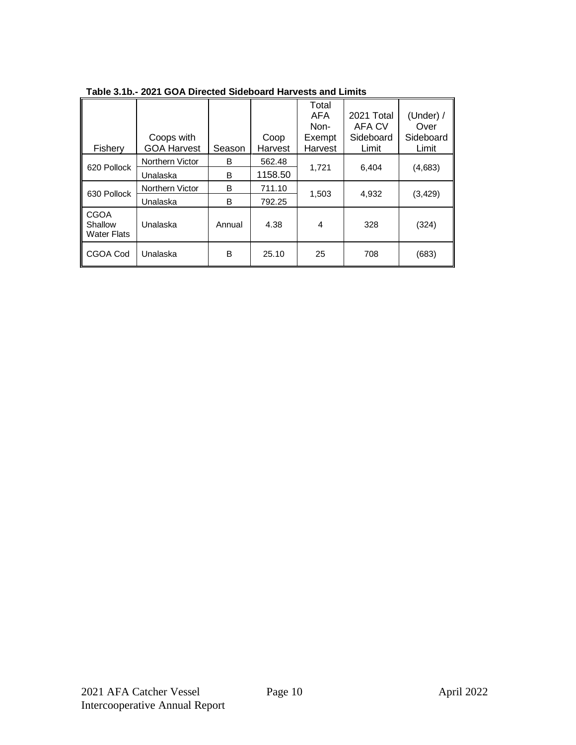|                                              |                    |        |         | Total      |            |           |
|----------------------------------------------|--------------------|--------|---------|------------|------------|-----------|
|                                              |                    |        |         | <b>AFA</b> | 2021 Total | (Under) / |
|                                              |                    |        |         | Non-       | AFA CV     | Over      |
|                                              | Coops with         |        | Coop    | Exempt     | Sideboard  | Sideboard |
| Fishery                                      | <b>GOA Harvest</b> | Season | Harvest | Harvest    | Limit      | Limit     |
| 620 Pollock                                  | Northern Victor    | B      | 562.48  | 1,721      | 6,404      | (4,683)   |
|                                              | Unalaska           | B      | 1158.50 |            |            |           |
| 630 Pollock                                  | Northern Victor    | B      | 711.10  | 1,503      | 4,932      | (3, 429)  |
|                                              | Unalaska           | B      | 792.25  |            |            |           |
| <b>CGOA</b><br>Shallow<br><b>Water Flats</b> | Unalaska           | Annual | 4.38    | 4          | 328        | (324)     |
| CGOA Cod                                     | Unalaska           | B      | 25.10   | 25         | 708        | (683)     |

**Table 3.1b.- 2021 GOA Directed Sideboard Harvests and Limits**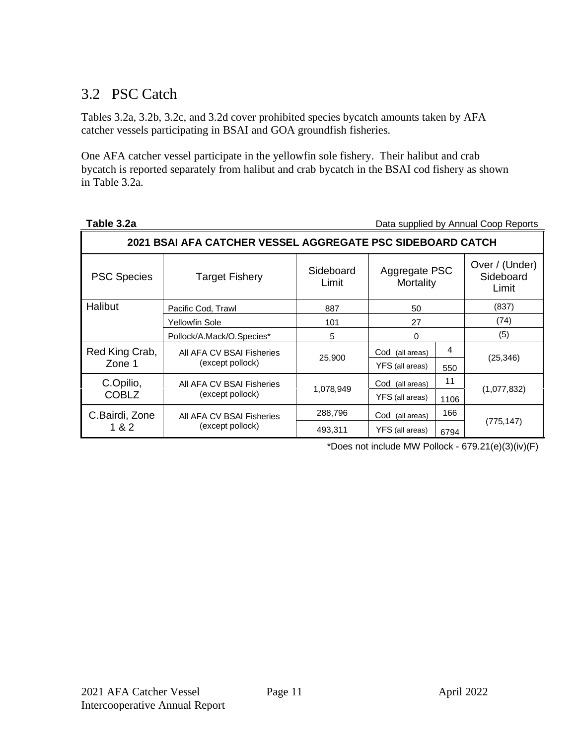## 3.2 PSC Catch

Tables 3.2a, 3.2b, 3.2c, and 3.2d cover prohibited species bycatch amounts taken by AFA catcher vessels participating in BSAI and GOA groundfish fisheries.

One AFA catcher vessel participate in the yellowfin sole fishery. Their halibut and crab bycatch is reported separately from halibut and crab bycatch in the BSAI cod fishery as shown in Table 3.2a.

Data supplied by Annual Coop Reports

| 2021 BSAI AFA CATCHER VESSEL AGGREGATE PSC SIDEBOARD CATCH |                           |                    |                            |      |                                      |
|------------------------------------------------------------|---------------------------|--------------------|----------------------------|------|--------------------------------------|
| <b>PSC Species</b>                                         | <b>Target Fishery</b>     | Sideboard<br>Limit | Aggregate PSC<br>Mortality |      | Over / (Under)<br>Sideboard<br>Limit |
| Halibut                                                    | Pacific Cod, Trawl        | 887                | 50                         |      | (837)                                |
|                                                            | Yellowfin Sole            | 101                | 27                         |      | (74)                                 |
|                                                            | Pollock/A.Mack/O.Species* | 5                  | 0                          |      | (5)                                  |
| Red King Crab,                                             | All AFA CV BSAI Fisheries | 25,900             | Cod (all areas)            | 4    | (25, 346)                            |
| Zone 1                                                     | (except pollock)          |                    | YFS (all areas)            | 550  |                                      |
| C.Opilio,                                                  | All AFA CV BSAI Fisheries |                    | Cod (all areas)            | 11   |                                      |
| <b>COBLZ</b>                                               | (except pollock)          | 1,078,949          | YFS (all areas)            | 1106 | (1,077,832)                          |
| C.Bairdi, Zone                                             | All AFA CV BSAI Fisheries | 288,796            | Cod<br>(all areas)         | 166  |                                      |
| 1 & 2                                                      | (except pollock)          | 493.311            | YFS (all areas)            | 6794 | (775, 147)                           |

\*Does not include MW Pollock - 679.21(e)(3)(iv)(F)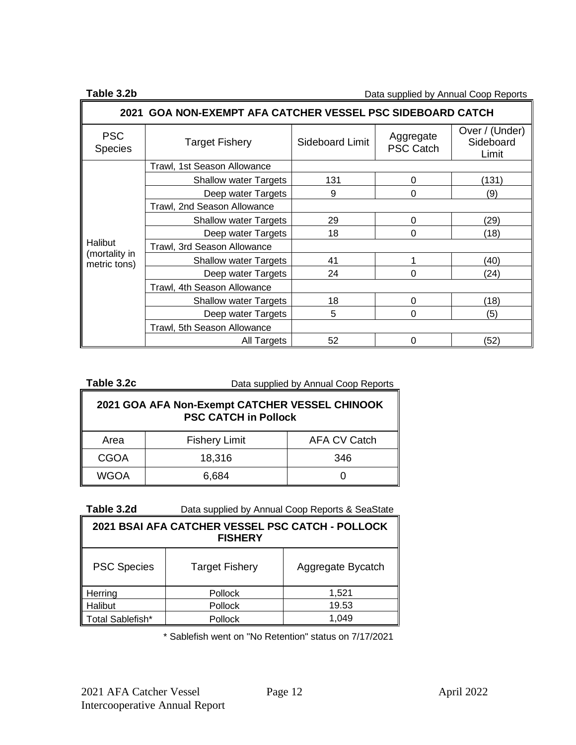**Table 3.2b Data supplied by Annual Coop Reports** 

| 2021 GOA NON-EXEMPT AFA CATCHER VESSEL PSC SIDEBOARD CATCH |                              |                 |                               |                                      |  |
|------------------------------------------------------------|------------------------------|-----------------|-------------------------------|--------------------------------------|--|
| <b>PSC</b><br><b>Species</b>                               | <b>Target Fishery</b>        | Sideboard Limit | Aggregate<br><b>PSC Catch</b> | Over / (Under)<br>Sideboard<br>Limit |  |
|                                                            | Trawl, 1st Season Allowance  |                 |                               |                                      |  |
|                                                            | <b>Shallow water Targets</b> | 131             | 0                             | (131)                                |  |
|                                                            | Deep water Targets           | 9               | 0                             | (9)                                  |  |
|                                                            | Trawl, 2nd Season Allowance  |                 |                               |                                      |  |
|                                                            | <b>Shallow water Targets</b> | 29              | 0                             | (29)                                 |  |
|                                                            | Deep water Targets           | 18              | 0                             | (18)                                 |  |
| <b>Halibut</b>                                             | Trawl, 3rd Season Allowance  |                 |                               |                                      |  |
| (mortality in<br>metric tons)                              | <b>Shallow water Targets</b> | 41              |                               | (40)                                 |  |
|                                                            | Deep water Targets           | 24              | ი                             | (24)                                 |  |
|                                                            | Trawl, 4th Season Allowance  |                 |                               |                                      |  |
|                                                            | <b>Shallow water Targets</b> | 18              | 0                             | (18)                                 |  |
|                                                            | Deep water Targets           | 5               | 0                             | (5)                                  |  |
|                                                            | Trawl, 5th Season Allowance  |                 |                               |                                      |  |
|                                                            | All Targets                  | 52              | ი                             | (52)                                 |  |

| Table 3.2c | Data supplied by Annual Coop Reports |
|------------|--------------------------------------|
|            |                                      |

| 2021 GOA AFA Non-Exempt CATCHER VESSEL CHINOOK<br><b>PSC CATCH in Pollock</b> |                      |                     |  |
|-------------------------------------------------------------------------------|----------------------|---------------------|--|
| Area                                                                          | <b>Fishery Limit</b> | <b>AFA CV Catch</b> |  |
| <b>CGOA</b>                                                                   | 18,316               | 346                 |  |
| <b>WGOA</b>                                                                   | 6,684                |                     |  |

**Table 3.2d** Data supplied by Annual Coop Reports & SeaState

| 2021 BSAI AFA CATCHER VESSEL PSC CATCH - POLLOCK<br><b>FISHERY</b> |         |       |  |  |
|--------------------------------------------------------------------|---------|-------|--|--|
| <b>PSC Species</b><br>Aggregate Bycatch<br><b>Target Fishery</b>   |         |       |  |  |
| Herring                                                            | Pollock | 1,521 |  |  |
| Halibut                                                            | Pollock | 19.53 |  |  |
| Total Sablefish*                                                   | Pollock | 1.049 |  |  |

\* Sablefish went on "No Retention" status on 7/17/2021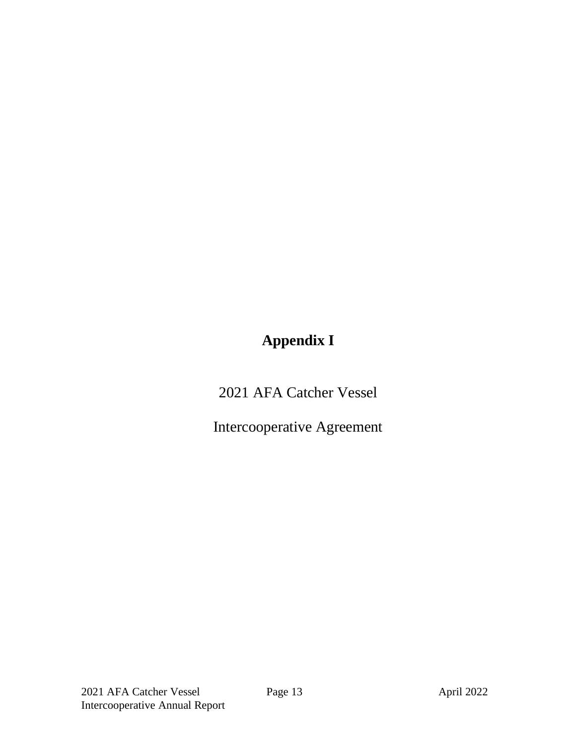# **Appendix I**

2021 AFA Catcher Vessel

Intercooperative Agreement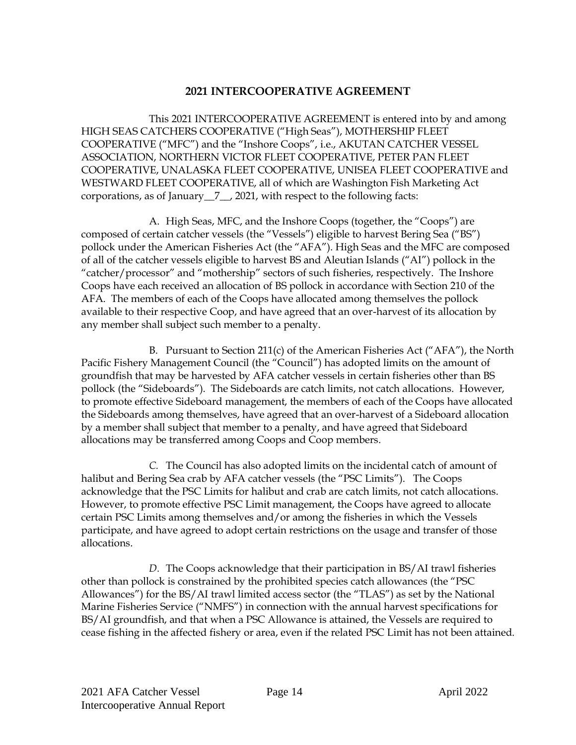#### **2021 INTERCOOPERATIVE AGREEMENT**

This 2021 INTERCOOPERATIVE AGREEMENT is entered into by and among HIGH SEAS CATCHERS COOPERATIVE ("High Seas"), MOTHERSHIP FLEET COOPERATIVE ("MFC") and the "Inshore Coops", i.e., AKUTAN CATCHER VESSEL ASSOCIATION, NORTHERN VICTOR FLEET COOPERATIVE, PETER PAN FLEET COOPERATIVE, UNALASKA FLEET COOPERATIVE, UNISEA FLEET COOPERATIVE and WESTWARD FLEET COOPERATIVE, all of which are Washington Fish Marketing Act corporations, as of January\_\_7\_\_, 2021, with respect to the following facts:

A. High Seas, MFC, and the Inshore Coops (together, the "Coops") are composed of certain catcher vessels (the "Vessels") eligible to harvest Bering Sea ("BS") pollock under the American Fisheries Act (the "AFA"). High Seas and the MFC are composed of all of the catcher vessels eligible to harvest BS and Aleutian Islands ("AI") pollock in the "catcher/processor" and "mothership" sectors of such fisheries, respectively. The Inshore Coops have each received an allocation of BS pollock in accordance with Section 210 of the AFA. The members of each of the Coops have allocated among themselves the pollock available to their respective Coop, and have agreed that an over-harvest of its allocation by any member shall subject such member to a penalty.

B. Pursuant to Section 211(c) of the American Fisheries Act ("AFA"), the North Pacific Fishery Management Council (the "Council") has adopted limits on the amount of groundfish that may be harvested by AFA catcher vessels in certain fisheries other than BS pollock (the "Sideboards"). The Sideboards are catch limits, not catch allocations. However, to promote effective Sideboard management, the members of each of the Coops have allocated the Sideboards among themselves, have agreed that an over-harvest of a Sideboard allocation by a member shall subject that member to a penalty, and have agreed that Sideboard allocations may be transferred among Coops and Coop members.

*C.* The Council has also adopted limits on the incidental catch of amount of halibut and Bering Sea crab by AFA catcher vessels (the "PSC Limits"). The Coops acknowledge that the PSC Limits for halibut and crab are catch limits, not catch allocations. However, to promote effective PSC Limit management, the Coops have agreed to allocate certain PSC Limits among themselves and/or among the fisheries in which the Vessels participate, and have agreed to adopt certain restrictions on the usage and transfer of those allocations.

*D.* The Coops acknowledge that their participation in BS/AI trawl fisheries other than pollock is constrained by the prohibited species catch allowances (the "PSC Allowances") for the BS/AI trawl limited access sector (the "TLAS") as set by the National Marine Fisheries Service ("NMFS") in connection with the annual harvest specifications for BS/AI groundfish, and that when a PSC Allowance is attained, the Vessels are required to cease fishing in the affected fishery or area, even if the related PSC Limit has not been attained.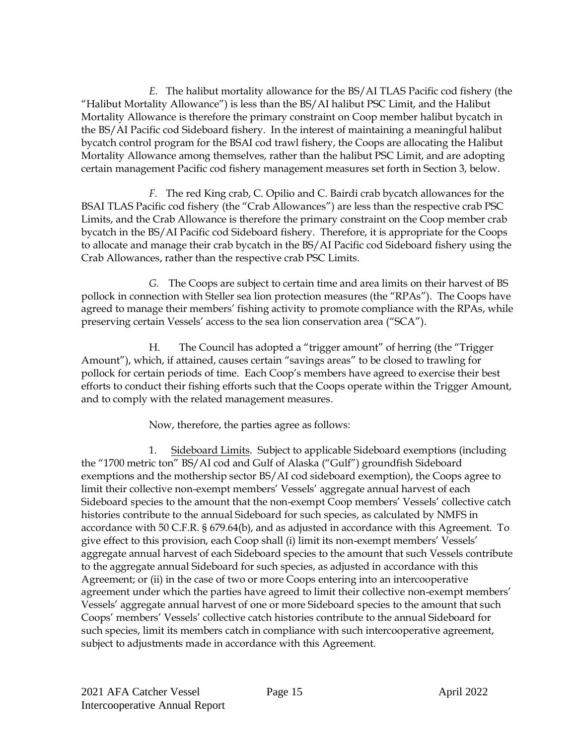*E.* The halibut mortality allowance for the BS/AI TLAS Pacific cod fishery (the "Halibut Mortality Allowance") is less than the BS/AI halibut PSC Limit, and the Halibut Mortality Allowance is therefore the primary constraint on Coop member halibut bycatch in the BS/AI Pacific cod Sideboard fishery. In the interest of maintaining a meaningful halibut bycatch control program for the BSAI cod trawl fishery, the Coops are allocating the Halibut Mortality Allowance among themselves, rather than the halibut PSC Limit, and are adopting certain management Pacific cod fishery management measures set forth in Section 3, below.

*F.* The red King crab, C. Opilio and C. Bairdi crab bycatch allowances for the BSAI TLAS Pacific cod fishery (the "Crab Allowances") are less than the respective crab PSC Limits, and the Crab Allowance is therefore the primary constraint on the Coop member crab bycatch in the BS/AI Pacific cod Sideboard fishery. Therefore, it is appropriate for the Coops to allocate and manage their crab bycatch in the BS/AI Pacific cod Sideboard fishery using the Crab Allowances, rather than the respective crab PSC Limits.

*G.* The Coops are subject to certain time and area limits on their harvest of BS pollock in connection with Steller sea lion protection measures (the "RPAs"). The Coops have agreed to manage their members' fishing activity to promote compliance with the RPAs, while preserving certain Vessels' access to the sea lion conservation area ("SCA").

H. The Council has adopted a "trigger amount" of herring (the "Trigger Amount"), which, if attained, causes certain "savings areas" to be closed to trawling for pollock for certain periods of time. Each Coop's members have agreed to exercise their best efforts to conduct their fishing efforts such that the Coops operate within the Trigger Amount, and to comply with the related management measures.

Now, therefore, the parties agree as follows:

1. Sideboard Limits. Subject to applicable Sideboard exemptions (including the "1700 metric ton" BS/AI cod and Gulf of Alaska ("Gulf") groundfish Sideboard exemptions and the mothership sector BS/AI cod sideboard exemption), the Coops agree to limit their collective non-exempt members' Vessels' aggregate annual harvest of each Sideboard species to the amount that the non-exempt Coop members' Vessels' collective catch histories contribute to the annual Sideboard for such species, as calculated by NMFS in accordance with 50 C.F.R. § 679.64(b), and as adjusted in accordance with this Agreement. To give effect to this provision, each Coop shall (i) limit its non-exempt members' Vessels' aggregate annual harvest of each Sideboard species to the amount that such Vessels contribute to the aggregate annual Sideboard for such species, as adjusted in accordance with this Agreement; or (ii) in the case of two or more Coops entering into an intercooperative agreement under which the parties have agreed to limit their collective non-exempt members' Vessels' aggregate annual harvest of one or more Sideboard species to the amount that such Coops' members' Vessels' collective catch histories contribute to the annual Sideboard for such species, limit its members catch in compliance with such intercooperative agreement, subject to adjustments made in accordance with this Agreement.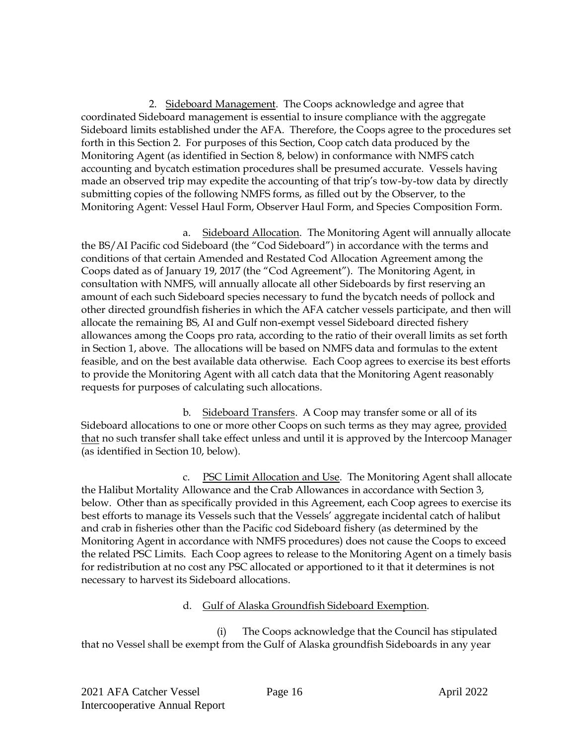2. Sideboard Management. The Coops acknowledge and agree that coordinated Sideboard management is essential to insure compliance with the aggregate Sideboard limits established under the AFA. Therefore, the Coops agree to the procedures set forth in this Section 2. For purposes of this Section, Coop catch data produced by the Monitoring Agent (as identified in Section 8, below) in conformance with NMFS catch accounting and bycatch estimation procedures shall be presumed accurate. Vessels having made an observed trip may expedite the accounting of that trip's tow-by-tow data by directly submitting copies of the following NMFS forms, as filled out by the Observer, to the Monitoring Agent: Vessel Haul Form, Observer Haul Form, and Species Composition Form.

a. Sideboard Allocation. The Monitoring Agent will annually allocate the BS/AI Pacific cod Sideboard (the "Cod Sideboard") in accordance with the terms and conditions of that certain Amended and Restated Cod Allocation Agreement among the Coops dated as of January 19, 2017 (the "Cod Agreement"). The Monitoring Agent, in consultation with NMFS, will annually allocate all other Sideboards by first reserving an amount of each such Sideboard species necessary to fund the bycatch needs of pollock and other directed groundfish fisheries in which the AFA catcher vessels participate, and then will allocate the remaining BS, AI and Gulf non-exempt vessel Sideboard directed fishery allowances among the Coops pro rata, according to the ratio of their overall limits as set forth in Section 1, above. The allocations will be based on NMFS data and formulas to the extent feasible, and on the best available data otherwise. Each Coop agrees to exercise its best efforts to provide the Monitoring Agent with all catch data that the Monitoring Agent reasonably requests for purposes of calculating such allocations.

b. Sideboard Transfers. A Coop may transfer some or all of its Sideboard allocations to one or more other Coops on such terms as they may agree, provided that no such transfer shall take effect unless and until it is approved by the Intercoop Manager (as identified in Section 10, below).

c. PSC Limit Allocation and Use. The Monitoring Agent shall allocate the Halibut Mortality Allowance and the Crab Allowances in accordance with Section 3, below. Other than as specifically provided in this Agreement, each Coop agrees to exercise its best efforts to manage its Vessels such that the Vessels' aggregate incidental catch of halibut and crab in fisheries other than the Pacific cod Sideboard fishery (as determined by the Monitoring Agent in accordance with NMFS procedures) does not cause the Coops to exceed the related PSC Limits. Each Coop agrees to release to the Monitoring Agent on a timely basis for redistribution at no cost any PSC allocated or apportioned to it that it determines is not necessary to harvest its Sideboard allocations.

#### d. Gulf of Alaska Groundfish Sideboard Exemption.

(i) The Coops acknowledge that the Council has stipulated that no Vessel shall be exempt from the Gulf of Alaska groundfish Sideboards in any year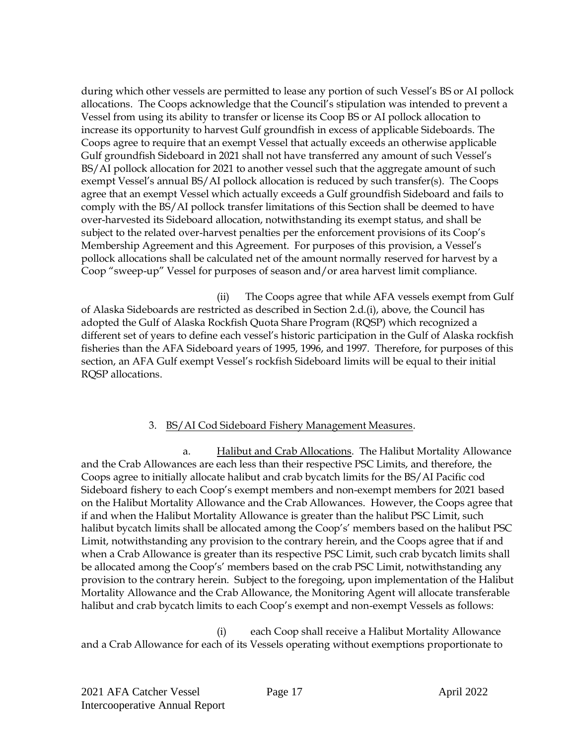during which other vessels are permitted to lease any portion of such Vessel's BS or AI pollock allocations. The Coops acknowledge that the Council's stipulation was intended to prevent a Vessel from using its ability to transfer or license its Coop BS or AI pollock allocation to increase its opportunity to harvest Gulf groundfish in excess of applicable Sideboards. The Coops agree to require that an exempt Vessel that actually exceeds an otherwise applicable Gulf groundfish Sideboard in 2021 shall not have transferred any amount of such Vessel's BS/AI pollock allocation for 2021 to another vessel such that the aggregate amount of such exempt Vessel's annual BS/AI pollock allocation is reduced by such transfer(s). The Coops agree that an exempt Vessel which actually exceeds a Gulf groundfish Sideboard and fails to comply with the BS/AI pollock transfer limitations of this Section shall be deemed to have over-harvested its Sideboard allocation, notwithstanding its exempt status, and shall be subject to the related over-harvest penalties per the enforcement provisions of its Coop's Membership Agreement and this Agreement. For purposes of this provision, a Vessel's pollock allocations shall be calculated net of the amount normally reserved for harvest by a Coop "sweep-up" Vessel for purposes of season and/or area harvest limit compliance.

(ii) The Coops agree that while AFA vessels exempt from Gulf of Alaska Sideboards are restricted as described in Section 2.d.(i), above, the Council has adopted the Gulf of Alaska Rockfish Quota Share Program (RQSP) which recognized a different set of years to define each vessel's historic participation in the Gulf of Alaska rockfish fisheries than the AFA Sideboard years of 1995, 1996, and 1997. Therefore, for purposes of this section, an AFA Gulf exempt Vessel's rockfish Sideboard limits will be equal to their initial RQSP allocations.

#### 3. BS/AI Cod Sideboard Fishery Management Measures.

a. Halibut and Crab Allocations. The Halibut Mortality Allowance and the Crab Allowances are each less than their respective PSC Limits, and therefore, the Coops agree to initially allocate halibut and crab bycatch limits for the BS/AI Pacific cod Sideboard fishery to each Coop's exempt members and non-exempt members for 2021 based on the Halibut Mortality Allowance and the Crab Allowances. However, the Coops agree that if and when the Halibut Mortality Allowance is greater than the halibut PSC Limit, such halibut bycatch limits shall be allocated among the Coop's' members based on the halibut PSC Limit, notwithstanding any provision to the contrary herein, and the Coops agree that if and when a Crab Allowance is greater than its respective PSC Limit, such crab bycatch limits shall be allocated among the Coop's' members based on the crab PSC Limit, notwithstanding any provision to the contrary herein. Subject to the foregoing, upon implementation of the Halibut Mortality Allowance and the Crab Allowance, the Monitoring Agent will allocate transferable halibut and crab bycatch limits to each Coop's exempt and non-exempt Vessels as follows:

(i) each Coop shall receive a Halibut Mortality Allowance and a Crab Allowance for each of its Vessels operating without exemptions proportionate to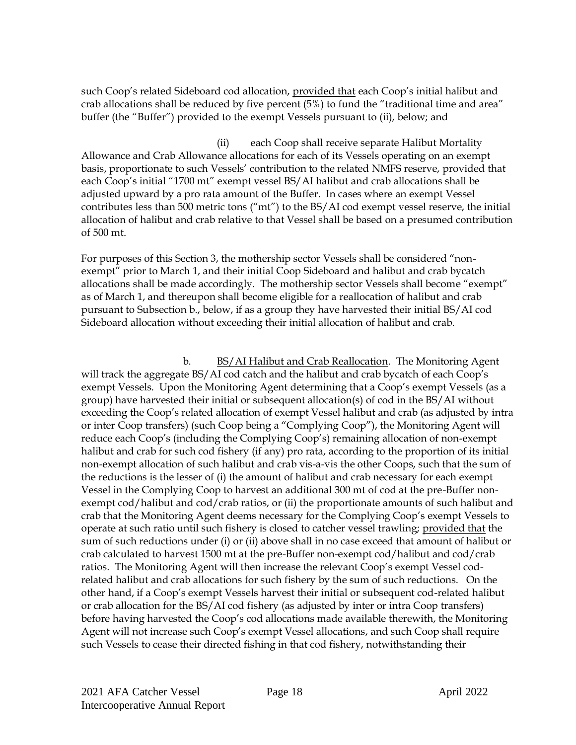such Coop's related Sideboard cod allocation, provided that each Coop's initial halibut and crab allocations shall be reduced by five percent (5%) to fund the "traditional time and area" buffer (the "Buffer") provided to the exempt Vessels pursuant to (ii), below; and

(ii) each Coop shall receive separate Halibut Mortality Allowance and Crab Allowance allocations for each of its Vessels operating on an exempt basis, proportionate to such Vessels' contribution to the related NMFS reserve, provided that each Coop's initial "1700 mt" exempt vessel BS/AI halibut and crab allocations shall be adjusted upward by a pro rata amount of the Buffer. In cases where an exempt Vessel contributes less than 500 metric tons ("mt") to the BS/AI cod exempt vessel reserve, the initial allocation of halibut and crab relative to that Vessel shall be based on a presumed contribution of 500 mt.

For purposes of this Section 3, the mothership sector Vessels shall be considered "nonexempt" prior to March 1, and their initial Coop Sideboard and halibut and crab bycatch allocations shall be made accordingly. The mothership sector Vessels shall become "exempt" as of March 1, and thereupon shall become eligible for a reallocation of halibut and crab pursuant to Subsection b., below, if as a group they have harvested their initial BS/AI cod Sideboard allocation without exceeding their initial allocation of halibut and crab.

b. BS/AI Halibut and Crab Reallocation. The Monitoring Agent will track the aggregate BS/AI cod catch and the halibut and crab bycatch of each Coop's exempt Vessels. Upon the Monitoring Agent determining that a Coop's exempt Vessels (as a group) have harvested their initial or subsequent allocation(s) of cod in the BS/AI without exceeding the Coop's related allocation of exempt Vessel halibut and crab (as adjusted by intra or inter Coop transfers) (such Coop being a "Complying Coop"), the Monitoring Agent will reduce each Coop's (including the Complying Coop's) remaining allocation of non-exempt halibut and crab for such cod fishery (if any) pro rata, according to the proportion of its initial non-exempt allocation of such halibut and crab vis-a-vis the other Coops, such that the sum of the reductions is the lesser of (i) the amount of halibut and crab necessary for each exempt Vessel in the Complying Coop to harvest an additional 300 mt of cod at the pre-Buffer nonexempt cod/halibut and cod/crab ratios, or (ii) the proportionate amounts of such halibut and crab that the Monitoring Agent deems necessary for the Complying Coop's exempt Vessels to operate at such ratio until such fishery is closed to catcher vessel trawling; provided that the sum of such reductions under (i) or (ii) above shall in no case exceed that amount of halibut or crab calculated to harvest 1500 mt at the pre-Buffer non-exempt cod/halibut and cod/crab ratios. The Monitoring Agent will then increase the relevant Coop's exempt Vessel codrelated halibut and crab allocations for such fishery by the sum of such reductions. On the other hand, if a Coop's exempt Vessels harvest their initial or subsequent cod-related halibut or crab allocation for the BS/AI cod fishery (as adjusted by inter or intra Coop transfers) before having harvested the Coop's cod allocations made available therewith, the Monitoring Agent will not increase such Coop's exempt Vessel allocations, and such Coop shall require such Vessels to cease their directed fishing in that cod fishery, notwithstanding their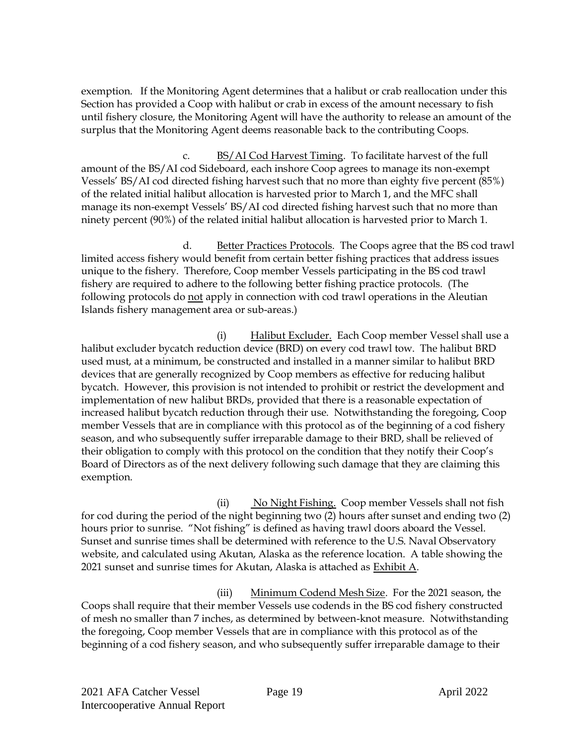exemption. If the Monitoring Agent determines that a halibut or crab reallocation under this Section has provided a Coop with halibut or crab in excess of the amount necessary to fish until fishery closure, the Monitoring Agent will have the authority to release an amount of the surplus that the Monitoring Agent deems reasonable back to the contributing Coops.

c. BS/AI Cod Harvest Timing. To facilitate harvest of the full amount of the BS/AI cod Sideboard, each inshore Coop agrees to manage its non-exempt Vessels' BS/AI cod directed fishing harvest such that no more than eighty five percent (85%) of the related initial halibut allocation is harvested prior to March 1, and the MFC shall manage its non-exempt Vessels' BS/AI cod directed fishing harvest such that no more than ninety percent (90%) of the related initial halibut allocation is harvested prior to March 1.

d. Better Practices Protocols. The Coops agree that the BS cod trawl limited access fishery would benefit from certain better fishing practices that address issues unique to the fishery. Therefore, Coop member Vessels participating in the BS cod trawl fishery are required to adhere to the following better fishing practice protocols. (The following protocols do not apply in connection with cod trawl operations in the Aleutian Islands fishery management area or sub-areas.)

(i) Halibut Excluder. Each Coop member Vessel shall use a halibut excluder bycatch reduction device (BRD) on every cod trawl tow. The halibut BRD used must, at a minimum, be constructed and installed in a manner similar to halibut BRD devices that are generally recognized by Coop members as effective for reducing halibut bycatch. However, this provision is not intended to prohibit or restrict the development and implementation of new halibut BRDs, provided that there is a reasonable expectation of increased halibut bycatch reduction through their use. Notwithstanding the foregoing, Coop member Vessels that are in compliance with this protocol as of the beginning of a cod fishery season, and who subsequently suffer irreparable damage to their BRD, shall be relieved of their obligation to comply with this protocol on the condition that they notify their Coop's Board of Directors as of the next delivery following such damage that they are claiming this exemption.

(ii) No Night Fishing. Coop member Vessels shall not fish for cod during the period of the night beginning two (2) hours after sunset and ending two (2) hours prior to sunrise. "Not fishing" is defined as having trawl doors aboard the Vessel. Sunset and sunrise times shall be determined with reference to the U.S. Naval Observatory website, and calculated using Akutan, Alaska as the reference location. A table showing the 2021 sunset and sunrise times for Akutan, Alaska is attached as Exhibit A.

(iii) Minimum Codend Mesh Size. For the 2021 season, the Coops shall require that their member Vessels use codends in the BS cod fishery constructed of mesh no smaller than 7 inches, as determined by between-knot measure. Notwithstanding the foregoing, Coop member Vessels that are in compliance with this protocol as of the beginning of a cod fishery season, and who subsequently suffer irreparable damage to their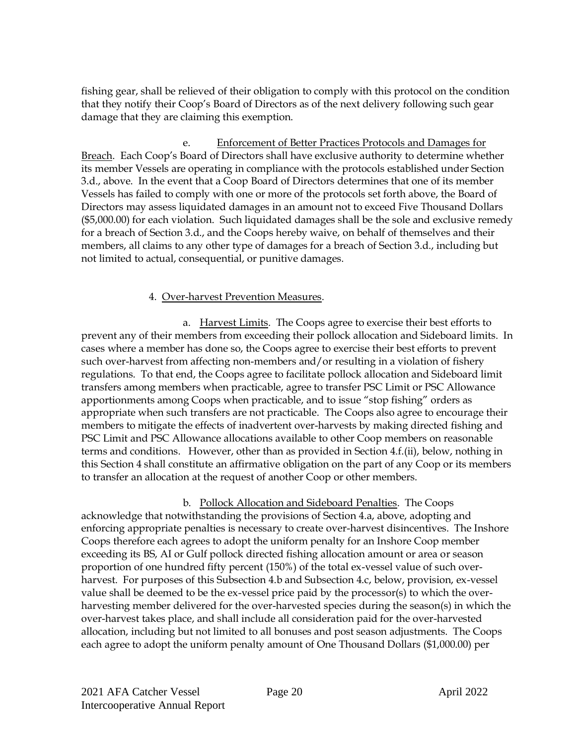fishing gear, shall be relieved of their obligation to comply with this protocol on the condition that they notify their Coop's Board of Directors as of the next delivery following such gear damage that they are claiming this exemption.

e. Enforcement of Better Practices Protocols and Damages for Breach. Each Coop's Board of Directors shall have exclusive authority to determine whether its member Vessels are operating in compliance with the protocols established under Section 3.d., above. In the event that a Coop Board of Directors determines that one of its member Vessels has failed to comply with one or more of the protocols set forth above, the Board of Directors may assess liquidated damages in an amount not to exceed Five Thousand Dollars (\$5,000.00) for each violation. Such liquidated damages shall be the sole and exclusive remedy for a breach of Section 3.d., and the Coops hereby waive, on behalf of themselves and their members, all claims to any other type of damages for a breach of Section 3.d., including but not limited to actual, consequential, or punitive damages.

#### 4. Over-harvest Prevention Measures.

a. Harvest Limits. The Coops agree to exercise their best efforts to prevent any of their members from exceeding their pollock allocation and Sideboard limits. In cases where a member has done so, the Coops agree to exercise their best efforts to prevent such over-harvest from affecting non-members and/or resulting in a violation of fishery regulations. To that end, the Coops agree to facilitate pollock allocation and Sideboard limit transfers among members when practicable, agree to transfer PSC Limit or PSC Allowance apportionments among Coops when practicable, and to issue "stop fishing" orders as appropriate when such transfers are not practicable. The Coops also agree to encourage their members to mitigate the effects of inadvertent over-harvests by making directed fishing and PSC Limit and PSC Allowance allocations available to other Coop members on reasonable terms and conditions. However, other than as provided in Section 4.f.(ii), below, nothing in this Section 4 shall constitute an affirmative obligation on the part of any Coop or its members to transfer an allocation at the request of another Coop or other members.

b. Pollock Allocation and Sideboard Penalties. The Coops acknowledge that notwithstanding the provisions of Section 4.a, above, adopting and enforcing appropriate penalties is necessary to create over-harvest disincentives. The Inshore Coops therefore each agrees to adopt the uniform penalty for an Inshore Coop member exceeding its BS, AI or Gulf pollock directed fishing allocation amount or area or season proportion of one hundred fifty percent (150%) of the total ex-vessel value of such overharvest. For purposes of this Subsection 4.b and Subsection 4.c, below, provision, ex-vessel value shall be deemed to be the ex-vessel price paid by the processor(s) to which the overharvesting member delivered for the over-harvested species during the season(s) in which the over-harvest takes place, and shall include all consideration paid for the over-harvested allocation, including but not limited to all bonuses and post season adjustments. The Coops each agree to adopt the uniform penalty amount of One Thousand Dollars (\$1,000.00) per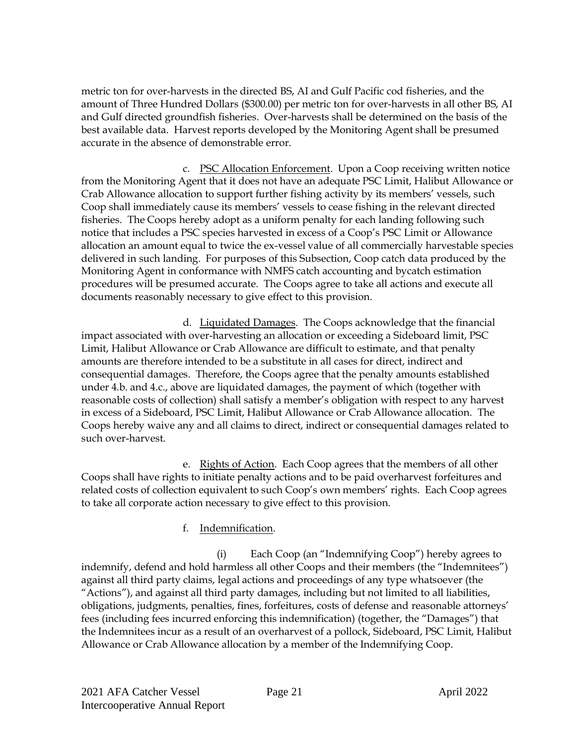metric ton for over-harvests in the directed BS, AI and Gulf Pacific cod fisheries, and the amount of Three Hundred Dollars (\$300.00) per metric ton for over-harvests in all other BS, AI and Gulf directed groundfish fisheries. Over-harvests shall be determined on the basis of the best available data. Harvest reports developed by the Monitoring Agent shall be presumed accurate in the absence of demonstrable error.

c. PSC Allocation Enforcement. Upon a Coop receiving written notice from the Monitoring Agent that it does not have an adequate PSC Limit, Halibut Allowance or Crab Allowance allocation to support further fishing activity by its members' vessels, such Coop shall immediately cause its members' vessels to cease fishing in the relevant directed fisheries. The Coops hereby adopt as a uniform penalty for each landing following such notice that includes a PSC species harvested in excess of a Coop's PSC Limit or Allowance allocation an amount equal to twice the ex-vessel value of all commercially harvestable species delivered in such landing. For purposes of this Subsection, Coop catch data produced by the Monitoring Agent in conformance with NMFS catch accounting and bycatch estimation procedures will be presumed accurate. The Coops agree to take all actions and execute all documents reasonably necessary to give effect to this provision.

d. Liquidated Damages. The Coops acknowledge that the financial impact associated with over-harvesting an allocation or exceeding a Sideboard limit, PSC Limit, Halibut Allowance or Crab Allowance are difficult to estimate, and that penalty amounts are therefore intended to be a substitute in all cases for direct, indirect and consequential damages. Therefore, the Coops agree that the penalty amounts established under 4.b. and 4.c., above are liquidated damages, the payment of which (together with reasonable costs of collection) shall satisfy a member's obligation with respect to any harvest in excess of a Sideboard, PSC Limit, Halibut Allowance or Crab Allowance allocation. The Coops hereby waive any and all claims to direct, indirect or consequential damages related to such over-harvest.

e. Rights of Action. Each Coop agrees that the members of all other Coops shall have rights to initiate penalty actions and to be paid overharvest forfeitures and related costs of collection equivalent to such Coop's own members' rights. Each Coop agrees to take all corporate action necessary to give effect to this provision.

#### f. Indemnification.

(i) Each Coop (an "Indemnifying Coop") hereby agrees to indemnify, defend and hold harmless all other Coops and their members (the "Indemnitees") against all third party claims, legal actions and proceedings of any type whatsoever (the "Actions"), and against all third party damages, including but not limited to all liabilities, obligations, judgments, penalties, fines, forfeitures, costs of defense and reasonable attorneys' fees (including fees incurred enforcing this indemnification) (together, the "Damages") that the Indemnitees incur as a result of an overharvest of a pollock, Sideboard, PSC Limit, Halibut Allowance or Crab Allowance allocation by a member of the Indemnifying Coop.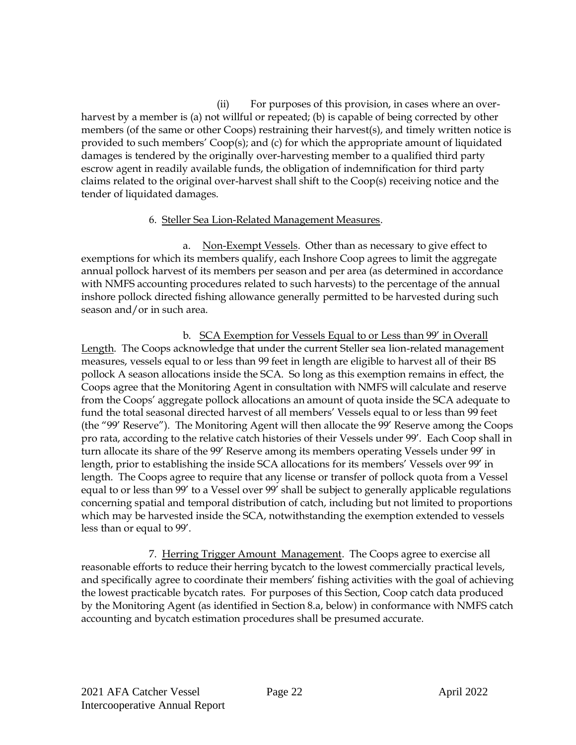(ii) For purposes of this provision, in cases where an overharvest by a member is (a) not willful or repeated; (b) is capable of being corrected by other members (of the same or other Coops) restraining their harvest(s), and timely written notice is provided to such members' Coop(s); and (c) for which the appropriate amount of liquidated damages is tendered by the originally over-harvesting member to a qualified third party escrow agent in readily available funds, the obligation of indemnification for third party claims related to the original over-harvest shall shift to the Coop(s) receiving notice and the tender of liquidated damages.

#### 6. Steller Sea Lion-Related Management Measures.

a. Non-Exempt Vessels. Other than as necessary to give effect to exemptions for which its members qualify, each Inshore Coop agrees to limit the aggregate annual pollock harvest of its members per season and per area (as determined in accordance with NMFS accounting procedures related to such harvests) to the percentage of the annual inshore pollock directed fishing allowance generally permitted to be harvested during such season and/or in such area.

b. SCA Exemption for Vessels Equal to or Less than 99' in Overall Length. The Coops acknowledge that under the current Steller sea lion-related management measures, vessels equal to or less than 99 feet in length are eligible to harvest all of their BS pollock A season allocations inside the SCA. So long as this exemption remains in effect, the Coops agree that the Monitoring Agent in consultation with NMFS will calculate and reserve from the Coops' aggregate pollock allocations an amount of quota inside the SCA adequate to fund the total seasonal directed harvest of all members' Vessels equal to or less than 99 feet (the "99' Reserve"). The Monitoring Agent will then allocate the 99' Reserve among the Coops pro rata, according to the relative catch histories of their Vessels under 99'. Each Coop shall in turn allocate its share of the 99' Reserve among its members operating Vessels under 99' in length, prior to establishing the inside SCA allocations for its members' Vessels over 99' in length. The Coops agree to require that any license or transfer of pollock quota from a Vessel equal to or less than 99' to a Vessel over 99' shall be subject to generally applicable regulations concerning spatial and temporal distribution of catch, including but not limited to proportions which may be harvested inside the SCA, notwithstanding the exemption extended to vessels less than or equal to 99'.

7. Herring Trigger Amount Management. The Coops agree to exercise all reasonable efforts to reduce their herring bycatch to the lowest commercially practical levels, and specifically agree to coordinate their members' fishing activities with the goal of achieving the lowest practicable bycatch rates. For purposes of this Section, Coop catch data produced by the Monitoring Agent (as identified in Section 8.a, below) in conformance with NMFS catch accounting and bycatch estimation procedures shall be presumed accurate.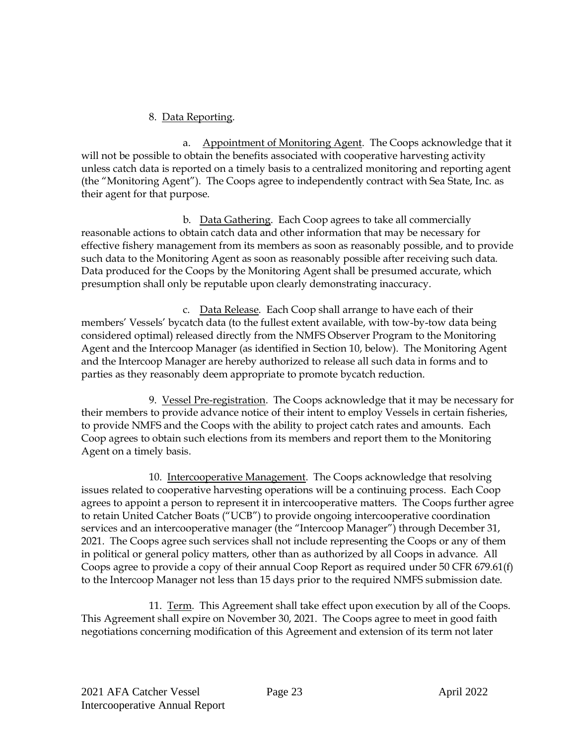#### 8. Data Reporting.

a. Appointment of Monitoring Agent. The Coops acknowledge that it will not be possible to obtain the benefits associated with cooperative harvesting activity unless catch data is reported on a timely basis to a centralized monitoring and reporting agent (the "Monitoring Agent"). The Coops agree to independently contract with Sea State, Inc. as their agent for that purpose.

b. Data Gathering. Each Coop agrees to take all commercially reasonable actions to obtain catch data and other information that may be necessary for effective fishery management from its members as soon as reasonably possible, and to provide such data to the Monitoring Agent as soon as reasonably possible after receiving such data. Data produced for the Coops by the Monitoring Agent shall be presumed accurate, which presumption shall only be reputable upon clearly demonstrating inaccuracy.

c. Data Release. Each Coop shall arrange to have each of their members' Vessels' bycatch data (to the fullest extent available, with tow-by-tow data being considered optimal) released directly from the NMFS Observer Program to the Monitoring Agent and the Intercoop Manager (as identified in Section 10, below). The Monitoring Agent and the Intercoop Manager are hereby authorized to release all such data in forms and to parties as they reasonably deem appropriate to promote bycatch reduction.

9. Vessel Pre-registration. The Coops acknowledge that it may be necessary for their members to provide advance notice of their intent to employ Vessels in certain fisheries, to provide NMFS and the Coops with the ability to project catch rates and amounts. Each Coop agrees to obtain such elections from its members and report them to the Monitoring Agent on a timely basis.

10. Intercooperative Management. The Coops acknowledge that resolving issues related to cooperative harvesting operations will be a continuing process. Each Coop agrees to appoint a person to represent it in intercooperative matters. The Coops further agree to retain United Catcher Boats ("UCB") to provide ongoing intercooperative coordination services and an intercooperative manager (the "Intercoop Manager") through December 31, 2021. The Coops agree such services shall not include representing the Coops or any of them in political or general policy matters, other than as authorized by all Coops in advance. All Coops agree to provide a copy of their annual Coop Report as required under 50 CFR 679.61(f) to the Intercoop Manager not less than 15 days prior to the required NMFS submission date.

11. Term. This Agreement shall take effect upon execution by all of the Coops. This Agreement shall expire on November 30, 2021. The Coops agree to meet in good faith negotiations concerning modification of this Agreement and extension of its term not later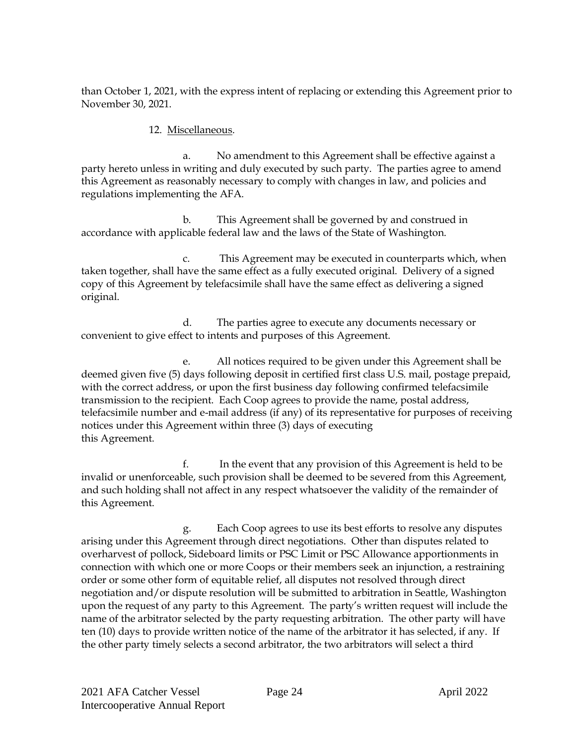than October 1, 2021, with the express intent of replacing or extending this Agreement prior to November 30, 2021.

#### 12. Miscellaneous.

a. No amendment to this Agreement shall be effective against a party hereto unless in writing and duly executed by such party. The parties agree to amend this Agreement as reasonably necessary to comply with changes in law, and policies and regulations implementing the AFA.

b. This Agreement shall be governed by and construed in accordance with applicable federal law and the laws of the State of Washington.

c. This Agreement may be executed in counterparts which, when taken together, shall have the same effect as a fully executed original. Delivery of a signed copy of this Agreement by telefacsimile shall have the same effect as delivering a signed original.

d. The parties agree to execute any documents necessary or convenient to give effect to intents and purposes of this Agreement.

e. All notices required to be given under this Agreement shall be deemed given five (5) days following deposit in certified first class U.S. mail, postage prepaid, with the correct address, or upon the first business day following confirmed telefacsimile transmission to the recipient. Each Coop agrees to provide the name, postal address, telefacsimile number and e-mail address (if any) of its representative for purposes of receiving notices under this Agreement within three (3) days of executing this Agreement.

f. In the event that any provision of this Agreement is held to be invalid or unenforceable, such provision shall be deemed to be severed from this Agreement, and such holding shall not affect in any respect whatsoever the validity of the remainder of this Agreement.

g. Each Coop agrees to use its best efforts to resolve any disputes arising under this Agreement through direct negotiations. Other than disputes related to overharvest of pollock, Sideboard limits or PSC Limit or PSC Allowance apportionments in connection with which one or more Coops or their members seek an injunction, a restraining order or some other form of equitable relief, all disputes not resolved through direct negotiation and/or dispute resolution will be submitted to arbitration in Seattle, Washington upon the request of any party to this Agreement. The party's written request will include the name of the arbitrator selected by the party requesting arbitration. The other party will have ten (10) days to provide written notice of the name of the arbitrator it has selected, if any. If the other party timely selects a second arbitrator, the two arbitrators will select a third